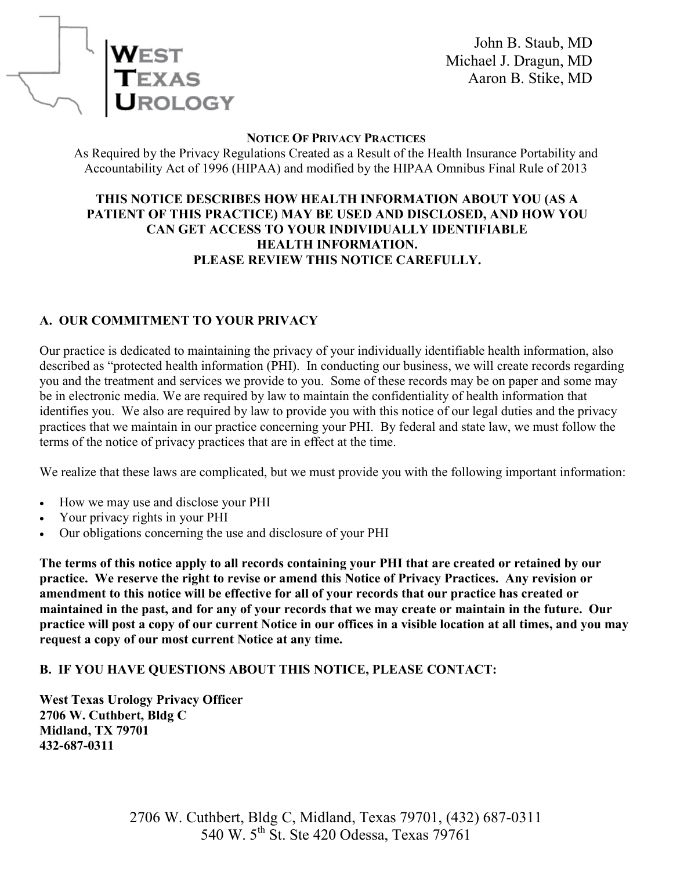

John B. Staub, MD Michael J. Dragun, MD Aaron B. Stike, MD

#### NOTICE OF PRIVACY PRACTICES

As Required by the Privacy Regulations Created as a Result of the Health Insurance Portability and Accountability Act of 1996 (HIPAA) and modified by the HIPAA Omnibus Final Rule of 2013

### THIS NOTICE DESCRIBES HOW HEALTH INFORMATION ABOUT YOU (AS A PATIENT OF THIS PRACTICE) MAY BE USED AND DISCLOSED, AND HOW YOU CAN GET ACCESS TO YOUR INDIVIDUALLY IDENTIFIABLE HEALTH INFORMATION. PLEASE REVIEW THIS NOTICE CAREFULLY.

## A. OUR COMMITMENT TO YOUR PRIVACY

Our practice is dedicated to maintaining the privacy of your individually identifiable health information, also described as "protected health information (PHI). In conducting our business, we will create records regarding you and the treatment and services we provide to you. Some of these records may be on paper and some may be in electronic media. We are required by law to maintain the confidentiality of health information that identifies you. We also are required by law to provide you with this notice of our legal duties and the privacy practices that we maintain in our practice concerning your PHI. By federal and state law, we must follow the terms of the notice of privacy practices that are in effect at the time.

We realize that these laws are complicated, but we must provide you with the following important information:

- How we may use and disclose your PHI
- Your privacy rights in your PHI
- Our obligations concerning the use and disclosure of your PHI

The terms of this notice apply to all records containing your PHI that are created or retained by our practice. We reserve the right to revise or amend this Notice of Privacy Practices. Any revision or amendment to this notice will be effective for all of your records that our practice has created or maintained in the past, and for any of your records that we may create or maintain in the future. Our practice will post a copy of our current Notice in our offices in a visible location at all times, and you may request a copy of our most current Notice at any time.

#### B. IF YOU HAVE QUESTIONS ABOUT THIS NOTICE, PLEASE CONTACT:

West Texas Urology Privacy Officer 2706 W. Cuthbert, Bldg C Midland, TX 79701 432-687-0311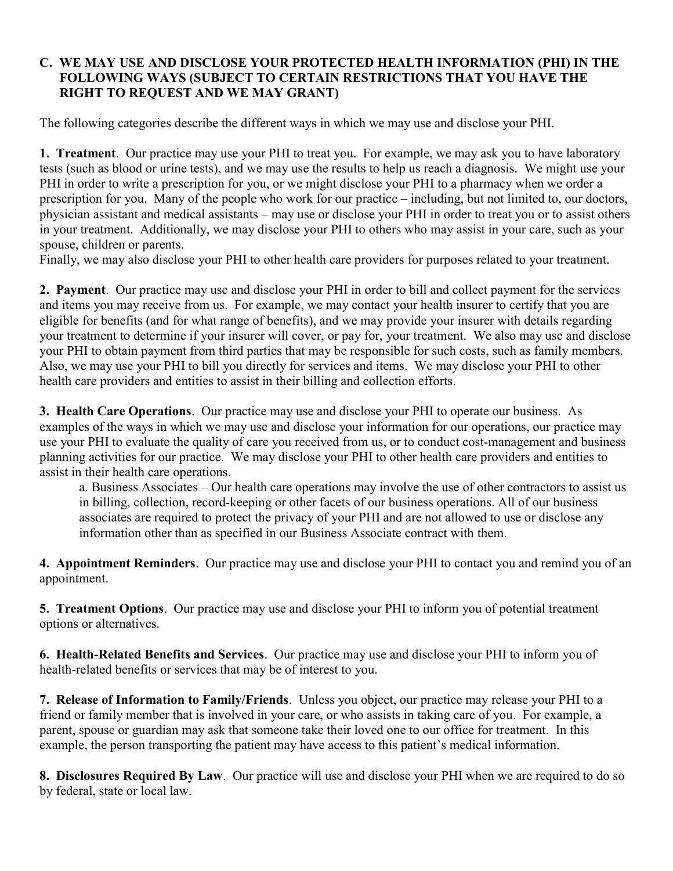## C. WE MAY USE AND DISCLOSE YOUR PROTECTED HEALTH INFORMATION (PHI) IN THE FOLLOWING WAYS (SUBJECT TO CERTAIN RESTRICTIONS THAT YOU HAVE THE RIGHT TO REQUEST AND WE MAY GRANT)

The following categories describe the different ways in which we may use and disclose your PHI.

1. Treatment. Our practice may use your PHI to treat you. For example, we may ask you to have laboratory tests (such as blood or urine tests), and we may use the results to help us reach a diagnosis. We might use your PHI in order to write a prescription for you, or we might disclose your PHI to a pharmacy when we order a prescription for you. Many of the people who work for our practice – including, but not limited to, our doctors, physician assistant and medical assistants – may use or disclose your PHI in order to treat you or to assist others in your treatment. Additionally, we may disclose your PHI to others who may assist in your care, such as your spouse, children or parents.

Finally, we may also disclose your PHI to other health care providers for purposes related to your treatment.

2. Payment. Our practice may use and disclose your PHI in order to bill and collect payment for the services and items you may receive from us. For example, we may contact your health insurer to certify that you are eligible for benefits (and for what range of benefits), and we may provide your insurer with details regarding your treatment to determine if your insurer will cover, or pay for, your treatment. We also may use and disclose your PHI to obtain payment from third parties that may be responsible for such costs, such as family members. Also, we may use your PHI to bill you directly for services and items. We may disclose your PHI to other health care providers and entities to assist in their billing and collection efforts.

3. Health Care Operations. Our practice may use and disclose your PHI to operate our business. As examples of the ways in which we may use and disclose your information for our operations, our practice may use your PHI to evaluate the quality of care you received from us, or to conduct cost-management and business planning activities for our practice. We may disclose your PHI to other health care providers and entities to assist in their health care operations.

a. Business Associates – Our health care operations may involve the use of other contractors to assist us in billing, collection, record-keeping or other facets of our business operations. All of our business associates are required to protect the privacy of your PHI and are not allowed to use or disclose any information other than as specified in our Business Associate contract with them.

4. Appointment Reminders. Our practice may use and disclose your PHI to contact you and remind you of an appointment.

5. Treatment Options. Our practice may use and disclose your PHI to inform you of potential treatment options or alternatives.

6. Health-Related Benefits and Services. Our practice may use and disclose your PHI to inform you of health-related benefits or services that may be of interest to you.

7. Release of Information to Family/Friends. Unless you object, our practice may release your PHI to a friend or family member that is involved in your care, or who assists in taking care of you. For example, a parent, spouse or guardian may ask that someone take their loved one to our office for treatment. In this example, the person transporting the patient may have access to this patient's medical information.

8. Disclosures Required By Law. Our practice will use and disclose your PHI when we are required to do so by federal, state or local law.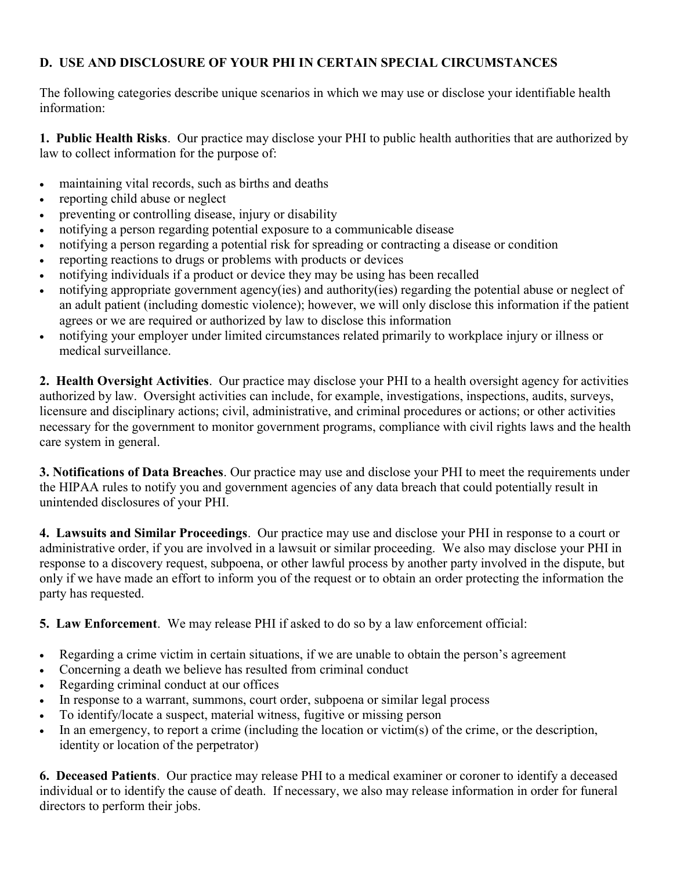## D. USE AND DISCLOSURE OF YOUR PHI IN CERTAIN SPECIAL CIRCUMSTANCES

The following categories describe unique scenarios in which we may use or disclose your identifiable health information:

1. Public Health Risks. Our practice may disclose your PHI to public health authorities that are authorized by law to collect information for the purpose of:

- maintaining vital records, such as births and deaths
- reporting child abuse or neglect
- preventing or controlling disease, injury or disability
- notifying a person regarding potential exposure to a communicable disease
- notifying a person regarding a potential risk for spreading or contracting a disease or condition
- reporting reactions to drugs or problems with products or devices
- notifying individuals if a product or device they may be using has been recalled
- notifying appropriate government agency(ies) and authority(ies) regarding the potential abuse or neglect of an adult patient (including domestic violence); however, we will only disclose this information if the patient agrees or we are required or authorized by law to disclose this information
- notifying your employer under limited circumstances related primarily to workplace injury or illness or medical surveillance.

2. Health Oversight Activities. Our practice may disclose your PHI to a health oversight agency for activities authorized by law. Oversight activities can include, for example, investigations, inspections, audits, surveys, licensure and disciplinary actions; civil, administrative, and criminal procedures or actions; or other activities necessary for the government to monitor government programs, compliance with civil rights laws and the health care system in general.

3. Notifications of Data Breaches. Our practice may use and disclose your PHI to meet the requirements under the HIPAA rules to notify you and government agencies of any data breach that could potentially result in unintended disclosures of your PHI.

4. Lawsuits and Similar Proceedings. Our practice may use and disclose your PHI in response to a court or administrative order, if you are involved in a lawsuit or similar proceeding. We also may disclose your PHI in response to a discovery request, subpoena, or other lawful process by another party involved in the dispute, but only if we have made an effort to inform you of the request or to obtain an order protecting the information the party has requested.

5. Law Enforcement. We may release PHI if asked to do so by a law enforcement official:

- Regarding a crime victim in certain situations, if we are unable to obtain the person's agreement
- Concerning a death we believe has resulted from criminal conduct
- Regarding criminal conduct at our offices
- In response to a warrant, summons, court order, subpoena or similar legal process
- To identify/locate a suspect, material witness, fugitive or missing person
- In an emergency, to report a crime (including the location or victim(s) of the crime, or the description, identity or location of the perpetrator)

6. Deceased Patients. Our practice may release PHI to a medical examiner or coroner to identify a deceased individual or to identify the cause of death. If necessary, we also may release information in order for funeral directors to perform their jobs.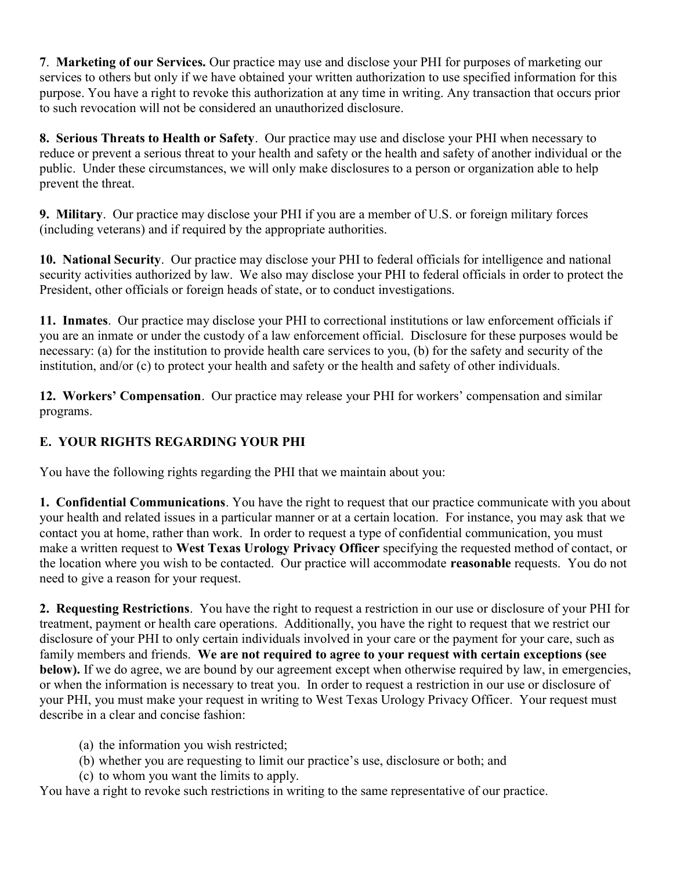7. Marketing of our Services. Our practice may use and disclose your PHI for purposes of marketing our services to others but only if we have obtained your written authorization to use specified information for this purpose. You have a right to revoke this authorization at any time in writing. Any transaction that occurs prior to such revocation will not be considered an unauthorized disclosure.

8. Serious Threats to Health or Safety. Our practice may use and disclose your PHI when necessary to reduce or prevent a serious threat to your health and safety or the health and safety of another individual or the public. Under these circumstances, we will only make disclosures to a person or organization able to help prevent the threat.

9. Military. Our practice may disclose your PHI if you are a member of U.S. or foreign military forces (including veterans) and if required by the appropriate authorities.

10. National Security. Our practice may disclose your PHI to federal officials for intelligence and national security activities authorized by law. We also may disclose your PHI to federal officials in order to protect the President, other officials or foreign heads of state, or to conduct investigations.

11. Inmates. Our practice may disclose your PHI to correctional institutions or law enforcement officials if you are an inmate or under the custody of a law enforcement official. Disclosure for these purposes would be necessary: (a) for the institution to provide health care services to you, (b) for the safety and security of the institution, and/or (c) to protect your health and safety or the health and safety of other individuals.

12. Workers' Compensation. Our practice may release your PHI for workers' compensation and similar programs.

# E. YOUR RIGHTS REGARDING YOUR PHI

You have the following rights regarding the PHI that we maintain about you:

1. Confidential Communications. You have the right to request that our practice communicate with you about your health and related issues in a particular manner or at a certain location. For instance, you may ask that we contact you at home, rather than work. In order to request a type of confidential communication, you must make a written request to West Texas Urology Privacy Officer specifying the requested method of contact, or the location where you wish to be contacted. Our practice will accommodate reasonable requests. You do not need to give a reason for your request.

2. Requesting Restrictions. You have the right to request a restriction in our use or disclosure of your PHI for treatment, payment or health care operations. Additionally, you have the right to request that we restrict our disclosure of your PHI to only certain individuals involved in your care or the payment for your care, such as family members and friends. We are not required to agree to your request with certain exceptions (see below). If we do agree, we are bound by our agreement except when otherwise required by law, in emergencies, or when the information is necessary to treat you. In order to request a restriction in our use or disclosure of your PHI, you must make your request in writing to West Texas Urology Privacy Officer. Your request must describe in a clear and concise fashion:

- (a) the information you wish restricted;
- (b) whether you are requesting to limit our practice's use, disclosure or both; and
- (c) to whom you want the limits to apply.

You have a right to revoke such restrictions in writing to the same representative of our practice.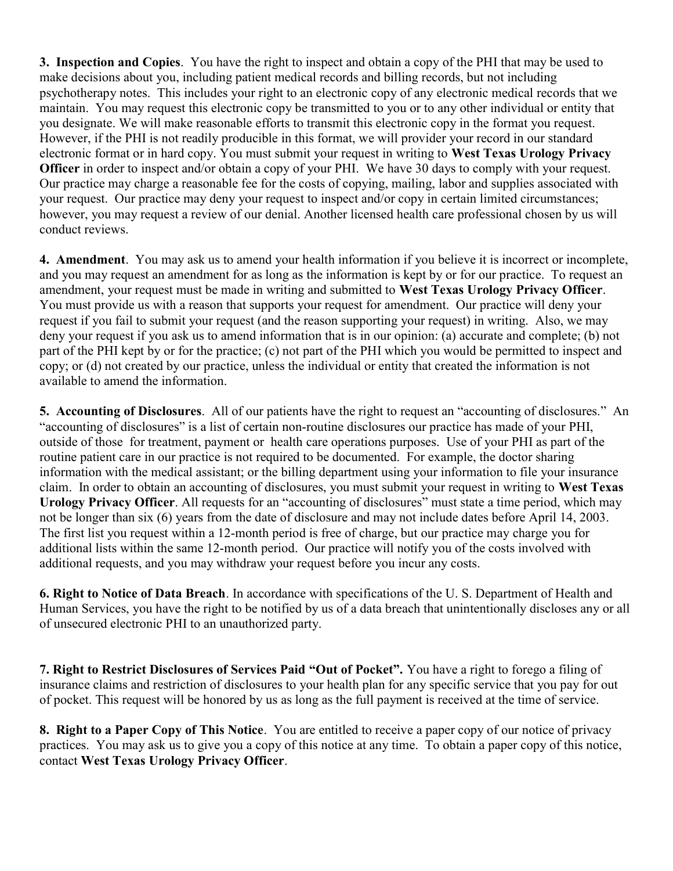3. Inspection and Copies. You have the right to inspect and obtain a copy of the PHI that may be used to make decisions about you, including patient medical records and billing records, but not including psychotherapy notes. This includes your right to an electronic copy of any electronic medical records that we maintain. You may request this electronic copy be transmitted to you or to any other individual or entity that you designate. We will make reasonable efforts to transmit this electronic copy in the format you request. However, if the PHI is not readily producible in this format, we will provider your record in our standard electronic format or in hard copy. You must submit your request in writing to West Texas Urology Privacy Officer in order to inspect and/or obtain a copy of your PHI. We have 30 days to comply with your request. Our practice may charge a reasonable fee for the costs of copying, mailing, labor and supplies associated with your request. Our practice may deny your request to inspect and/or copy in certain limited circumstances; however, you may request a review of our denial. Another licensed health care professional chosen by us will conduct reviews.

4. Amendment. You may ask us to amend your health information if you believe it is incorrect or incomplete, and you may request an amendment for as long as the information is kept by or for our practice. To request an amendment, your request must be made in writing and submitted to West Texas Urology Privacy Officer. You must provide us with a reason that supports your request for amendment. Our practice will deny your request if you fail to submit your request (and the reason supporting your request) in writing. Also, we may deny your request if you ask us to amend information that is in our opinion: (a) accurate and complete; (b) not part of the PHI kept by or for the practice; (c) not part of the PHI which you would be permitted to inspect and copy; or (d) not created by our practice, unless the individual or entity that created the information is not available to amend the information.

5. Accounting of Disclosures. All of our patients have the right to request an "accounting of disclosures." An "accounting of disclosures" is a list of certain non-routine disclosures our practice has made of your PHI, outside of those for treatment, payment or health care operations purposes. Use of your PHI as part of the routine patient care in our practice is not required to be documented. For example, the doctor sharing information with the medical assistant; or the billing department using your information to file your insurance claim. In order to obtain an accounting of disclosures, you must submit your request in writing to West Texas Urology Privacy Officer. All requests for an "accounting of disclosures" must state a time period, which may not be longer than six (6) years from the date of disclosure and may not include dates before April 14, 2003. The first list you request within a 12-month period is free of charge, but our practice may charge you for additional lists within the same 12-month period. Our practice will notify you of the costs involved with additional requests, and you may withdraw your request before you incur any costs.

6. Right to Notice of Data Breach. In accordance with specifications of the U. S. Department of Health and Human Services, you have the right to be notified by us of a data breach that unintentionally discloses any or all of unsecured electronic PHI to an unauthorized party.

7. Right to Restrict Disclosures of Services Paid "Out of Pocket". You have a right to forego a filing of insurance claims and restriction of disclosures to your health plan for any specific service that you pay for out of pocket. This request will be honored by us as long as the full payment is received at the time of service.

8. Right to a Paper Copy of This Notice. You are entitled to receive a paper copy of our notice of privacy practices. You may ask us to give you a copy of this notice at any time. To obtain a paper copy of this notice, contact West Texas Urology Privacy Officer.